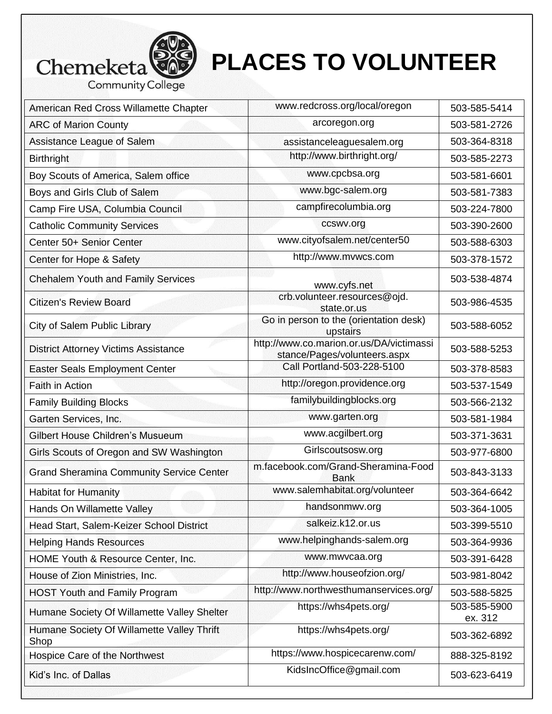

## **PLACES TO VOLUNTEER**

| American Red Cross Willamette Chapter              | www.redcross.org/local/oregon                                            | 503-585-5414            |
|----------------------------------------------------|--------------------------------------------------------------------------|-------------------------|
| <b>ARC of Marion County</b>                        | arcoregon.org                                                            | 503-581-2726            |
| Assistance League of Salem                         | assistanceleaguesalem.org                                                | 503-364-8318            |
| <b>Birthright</b>                                  | http://www.birthright.org/                                               | 503-585-2273            |
| Boy Scouts of America, Salem office                | www.cpcbsa.org                                                           | 503-581-6601            |
| Boys and Girls Club of Salem                       | www.bgc-salem.org                                                        | 503-581-7383            |
| Camp Fire USA, Columbia Council                    | campfirecolumbia.org                                                     | 503-224-7800            |
| <b>Catholic Community Services</b>                 | ccswv.org                                                                | 503-390-2600            |
| Center 50+ Senior Center                           | www.cityofsalem.net/center50                                             | 503-588-6303            |
| Center for Hope & Safety                           | http://www.mvwcs.com                                                     | 503-378-1572            |
| <b>Chehalem Youth and Family Services</b>          | www.cyfs.net                                                             | 503-538-4874            |
| <b>Citizen's Review Board</b>                      | crb.volunteer.resources@ojd.<br>state.or.us                              | 503-986-4535            |
| City of Salem Public Library                       | Go in person to the (orientation desk)<br>upstairs                       | 503-588-6052            |
| <b>District Attorney Victims Assistance</b>        | http://www.co.marion.or.us/DA/victimassi<br>stance/Pages/volunteers.aspx | 503-588-5253            |
| <b>Easter Seals Employment Center</b>              | Call Portland-503-228-5100                                               | 503-378-8583            |
| <b>Faith in Action</b>                             | http://oregon.providence.org                                             | 503-537-1549            |
| <b>Family Building Blocks</b>                      | familybuildingblocks.org                                                 | 503-566-2132            |
| Garten Services, Inc.                              | www.garten.org                                                           | 503-581-1984            |
| Gilbert House Children's Musueum                   | www.acgilbert.org                                                        | 503-371-3631            |
| Girls Scouts of Oregon and SW Washington           | Girlscoutsosw.org                                                        | 503-977-6800            |
| <b>Grand Sheramina Community Service Center</b>    | m.facebook.com/Grand-Sheramina-Food<br><b>Bank</b>                       | 503-843-3133            |
| <b>Habitat for Humanity</b>                        | www.salemhabitat.org/volunteer                                           | 503-364-6642            |
| Hands On Willamette Valley                         | handsonmwv.org                                                           | 503-364-1005            |
| Head Start, Salem-Keizer School District           | salkeiz.k12.or.us                                                        | 503-399-5510            |
| <b>Helping Hands Resources</b>                     | www.helpinghands-salem.org                                               | 503-364-9936            |
| HOME Youth & Resource Center, Inc.                 | www.mwvcaa.org                                                           | 503-391-6428            |
| House of Zion Ministries, Inc.                     | http://www.houseofzion.org/                                              | 503-981-8042            |
| <b>HOST Youth and Family Program</b>               | http://www.northwesthumanservices.org/                                   | 503-588-5825            |
| Humane Society Of Willamette Valley Shelter        | https://whs4pets.org/                                                    | 503-585-5900<br>ex. 312 |
| Humane Society Of Willamette Valley Thrift<br>Shop | https://whs4pets.org/                                                    | 503-362-6892            |
| Hospice Care of the Northwest                      | https://www.hospicecarenw.com/                                           | 888-325-8192            |

Kid's Inc. of Dallas KidslncOffice@gmail.com 503-623-6419